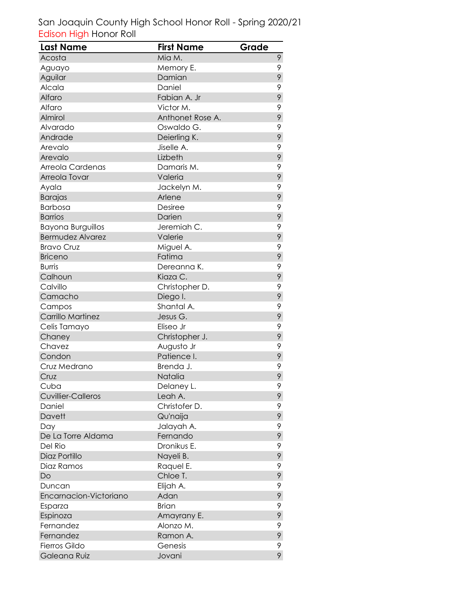| <b>Last Name</b>          | <b>First Name</b> | Grade |
|---------------------------|-------------------|-------|
| Acosta                    | Mia M.            | 9     |
| Aguayo                    | Memory E.         | 9     |
| Aguilar                   | Damian            | 9     |
| Alcala                    | Daniel            | 9     |
| Alfaro                    | Fabian A. Jr      | 9     |
| Alfaro                    | Victor M.         | 9     |
| Almirol                   | Anthonet Rose A.  | 9     |
| Alvarado                  | Oswaldo G.        | 9     |
| Andrade                   | Deierling K.      | 9     |
| Arevalo                   | Jiselle A.        | 9     |
| Arevalo                   | Lizbeth           | 9     |
| Arreola Cardenas          | Damaris M.        | 9     |
| Arreola Tovar             | Valeria           | 9     |
| Ayala                     | Jackelyn M.       | 9     |
| <b>Barajas</b>            | Arlene            | 9     |
| <b>Barbosa</b>            | <b>Desiree</b>    | 9     |
| <b>Barrios</b>            | Darien            | 9     |
| <b>Bayona Burguillos</b>  | Jeremiah C.       | 9     |
| <b>Bermudez Alvarez</b>   | Valerie           | 9     |
| <b>Bravo Cruz</b>         | Miguel A.         | 9     |
| <b>Briceno</b>            | Fatima            | 9     |
| <b>Burris</b>             | Dereanna K.       | 9     |
| Calhoun                   | Kiaza C.          | 9     |
| Calvillo                  | Christopher D.    | 9     |
| Camacho                   | Diego I.          | 9     |
| Campos                    | Shantal A.        | 9     |
| Carrillo Martinez         | Jesus G.          | 9     |
| Celis Tamayo              | Eliseo Jr         | 9     |
| Chaney                    | Christopher J.    | 9     |
| Chavez                    | Augusto Jr        | 9     |
| Condon                    | Patience I.       | 9     |
| Cruz Medrano              | Brenda J.         | 9     |
| Cruz                      | Natalia           | 9     |
| Cuba                      | Delaney L.        | 9     |
| <b>Cuvillier-Calleros</b> | Leah A.           | 9     |
| Daniel                    | Christofer D.     | 9     |
| Davett                    | Qu'naija          | 9     |
| Day                       | Jalayah A.        | 9     |
| De La Torre Aldama        | Fernando          | 9     |
| Del Rio                   | Dronikus E.       | 9     |
| Diaz Portillo             | Nayeli B.         | 9     |
| Diaz Ramos                | Raquel E.         | 9     |
| Do                        | Chloe T.          | 9     |
| Duncan                    | Elijah A.         | 9     |
| Encarnacion-Victoriano    | Adan              | 9     |
| Esparza                   | <b>Brian</b>      | 9     |
| Espinoza                  | Amayrany E.       | 9     |
| Fernandez                 | Alonzo M.         | 9     |
| Fernandez                 | Ramon A.          | 9     |
| Fierros Gildo             | Genesis           | 9     |
| Galeana Ruiz              | Jovani            | 9     |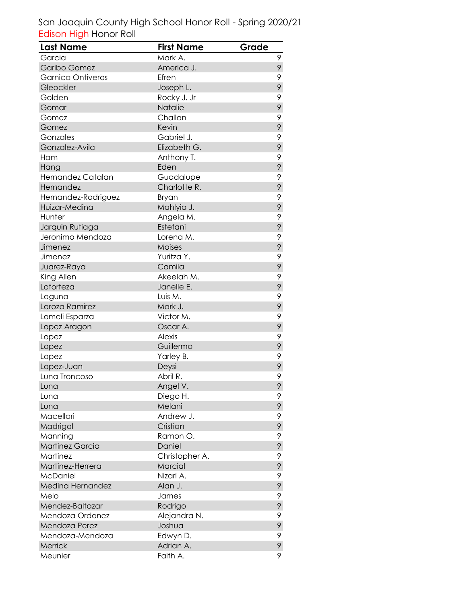| <b>Last Name</b>         | <b>First Name</b> | Grade |
|--------------------------|-------------------|-------|
| Garcia                   | Mark A.           | 9     |
| Garibo Gomez             | America J.        | 9     |
| <b>Garnica Ontiveros</b> | Efren             | 9     |
| Gleockler                | Joseph L.         | 9     |
| Golden                   | Rocky J. Jr       | 9     |
| Gomar                    | Natalie           | 9     |
| Gomez                    | Challan           | 9     |
| Gomez                    | Kevin             | 9     |
| Gonzales                 | Gabriel J.        | 9     |
| Gonzalez-Avila           | Elizabeth G.      | 9     |
| Ham                      | Anthony T.        | 9     |
| Hang                     | Eden              | 9     |
| Hernandez Catalan        | Guadalupe         | 9     |
| Hernandez                | Charlotte R.      | 9     |
| Hernandez-Rodriguez      | Bryan             | 9     |
| Huizar-Medina            | Mahlyia J.        | 9     |
| Hunter                   | Angela M.         | 9     |
| Jarquin Rutiaga          | Estefani          | 9     |
| Jeronimo Mendoza         | Lorena M.         | 9     |
| Jimenez                  | Moises            | 9     |
| Jimenez                  | Yuritza Y.        | 9     |
| Juarez-Raya              | Camila            | 9     |
| King Allen               | Akeelah M.        | 9     |
| Laforteza                | Janelle E.        | 9     |
| Laguna                   | Luis M.           | 9     |
| Laroza Ramirez           | Mark J.           | 9     |
| Lomeli Esparza           | Victor M.         | 9     |
| Lopez Aragon             | Oscar A.          | 9     |
| Lopez                    | <b>Alexis</b>     | 9     |
| Lopez                    | Guillermo         | 9     |
| Lopez                    | Yarley B.         | 9     |
| Lopez-Juan               | Deysi             | 9     |
| Luna Troncoso            | Abril R.          | 9     |
| Luna                     | Angel V.          | 9     |
| Luna                     | Diego H.          | 9     |
| Luna                     | Melani            | 9     |
| Macellari                | Andrew J.         | 9     |
| Madrigal                 | Cristian          | 9     |
| Manning                  | Ramon O.          | 9     |
| Martinez Garcia          | Daniel            | 9     |
| Martinez                 | Christopher A.    | 9     |
| Martinez-Herrera         | Marcial           | 9     |
| <b>McDaniel</b>          | Nizari A.         | 9     |
| Medina Hernandez         | Alan J.           | 9     |
| Melo                     | James             | 9     |
| Mendez-Baltazar          | Rodrigo           | 9     |
| Mendoza Ordonez          | Alejandra N.      | 9     |
| Mendoza Perez            | Joshua            | 9     |
| Mendoza-Mendoza          | Edwyn D.          | 9     |
| Merrick                  | Adrian A.         | 9     |
| Meunier                  | Faith A.          | 9     |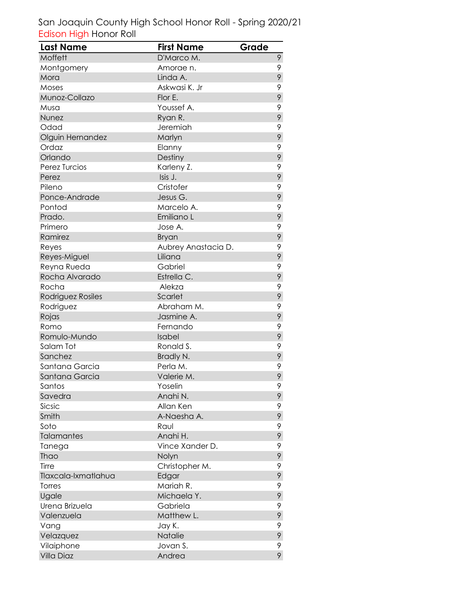| <b>Last Name</b>    | <b>First Name</b>   | Grade |
|---------------------|---------------------|-------|
| Moffett             | D'Marco M.          | 9     |
| Montgomery          | Amorae n.           | 9     |
| Mora                | Linda A.            | 9     |
| Moses               | Askwasi K. Jr       | 9     |
| Munoz-Collazo       | Flor E.             | 9     |
| Musa                | Youssef A.          | 9     |
| Nunez               | Ryan R.             | 9     |
| Odad                | Jeremiah            | 9     |
| Olguin Hernandez    | Marlyn              | 9     |
| Ordaz               | Elanny              | 9     |
| Orlando             | Destiny             | 9     |
| Perez Turcios       | Karleny Z.          | 9     |
| Perez               | Isis J.             | 9     |
| Pileno              | Cristofer           | 9     |
| Ponce-Andrade       | Jesus G.            | 9     |
| Pontod              | Marcelo A.          | 9     |
| Prado.              | Emiliano L          | 9     |
| Primero             | Jose A.             | 9     |
| Ramirez             | <b>Bryan</b>        | 9     |
| Reyes               | Aubrey Anastacia D. | 9     |
| Reyes-Miguel        | Liliana             | 9     |
| Reyna Rueda         | Gabriel             | 9     |
| Rocha Alvarado      | Estrella C.         | 9     |
| Rocha               | Alekza              | 9     |
| Rodriguez Rosiles   | Scarlet             | 9     |
| Rodriguez           | Abraham M.          | 9     |
| Rojas               | Jasmine A.          | 9     |
| Romo                | Fernando            | 9     |
| Romulo-Mundo        | Isabel              | 9     |
| Salam Tot           | Ronald S.           | 9     |
| Sanchez             | Bradly N.           | 9     |
| Santana Garcia      | Perla M.            | 9     |
| Santana Garcia      | Valerie M.          | 9     |
| Santos              | Yoselin             | 9     |
| Savedra             | Anahi N.            | 9     |
| Sicsic              | Allan Ken           | 9     |
| Smith               | A-Naesha A.         | 9     |
| Soto                | Raul                | 9     |
| <b>Talamantes</b>   | Anahi H.            | 9     |
| Tanega              | Vince Xander D.     | 9     |
| Thao                | Nolyn               | 9     |
| Tirre               | Christopher M.      | 9     |
| Tlaxcala-Ixmatlahua | Edgar               | 9     |
| Torres              | Mariah R.           | 9     |
| Ugale               | Michaela Y.         | 9     |
| Urena Brizuela      | Gabriela            | 9     |
| Valenzuela          | Matthew L.          | 9     |
| Vang                | Jay K.              | 9     |
| Velazquez           | Natalie             | 9     |
| Vilaiphone          | Jovan S.            | 9     |
| Villa Diaz          | Andrea              | 9     |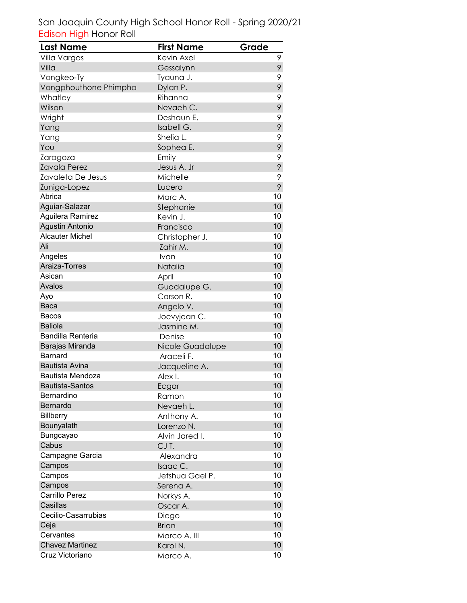| <b>Last Name</b>         | <b>First Name</b> | Grade           |
|--------------------------|-------------------|-----------------|
| Villa Vargas             | Kevin Axel        | 9               |
| Villa                    | Gessalynn         | 9               |
| Vongkeo-Ty               | Tyauna J.         | 9               |
| Vongphouthone Phimpha    | Dylan P.          | 9               |
| Whatley                  | Rihanna           | 9               |
| Wilson                   | Nevaeh C.         | 9               |
| Wright                   | Deshaun E.        | 9               |
| Yang                     | Isabell G.        | 9               |
| Yang                     | Shelia L.         | 9               |
| You                      | Sophea E.         | 9               |
| Zaragoza                 | Emily             | 9               |
| <b>Zavala Perez</b>      | Jesus A. Jr       | 9               |
| Zavaleta De Jesus        | Michelle          | 9               |
| Zuniga-Lopez             | Lucero            | 9               |
| Abrica                   | Marc A.           | 10              |
| Aguiar-Salazar           | Stephanie         | 10              |
| Aguilera Ramirez         | Kevin J.          | 10              |
| <b>Agustin Antonio</b>   | Francisco         | 10              |
| <b>Alcauter Michel</b>   | Christopher J.    | 10              |
| Ali                      | Zahir M.          | 10              |
| Angeles                  | Ivan              | 10              |
| Araiza-Torres            | Natalia           | 10              |
| Asican                   | April             | 10              |
| Avalos                   | Guadalupe G.      | 10              |
| Ayo                      | Carson R.         | 10              |
| Baca                     | Angelo V.         | 10              |
| Bacos                    | Joevyjean C.      | 10              |
| <b>Baliola</b>           | Jasmine M.        | 10              |
| <b>Bandilla Renteria</b> | Denise            | 10              |
| Barajas Miranda          | Nicole Guadalupe  | 10              |
| Barnard                  | Araceli F.        | 10              |
| <b>Bautista Avina</b>    | Jacqueline A.     | 10              |
| <b>Bautista Mendoza</b>  | Alex I.           | 10              |
| <b>Bautista-Santos</b>   | Ecgar             | 10              |
| Bernardino               | Ramon             | 10              |
| Bernardo                 | Nevaeh L.         | 10              |
| <b>Billberry</b>         | Anthony A.        | 10              |
| Bounyalath               | Lorenzo N.        | 10              |
| Bungcayao                | Alvin Jared I.    | 10              |
| Cabus                    | CJT.              | 10              |
| Campagne Garcia          | Alexandra         | 10              |
| Campos                   | Isaac C.          | 10              |
| Campos                   | Jetshua Gael P.   | 10              |
| Campos                   | Serena A.         | 10 <sup>1</sup> |
| Carrillo Perez           | Norkys A.         | 10              |
| Casillas                 | Oscar A.          | 10              |
| Cecilio-Casarrubias      | Diego             | 10              |
| Ceja                     | <b>Brian</b>      | 10              |
| Cervantes                | Marco A. III      | 10              |
| <b>Chavez Martinez</b>   | Karol N.          | 10              |
| Cruz Victoriano          | Marco A.          | 10              |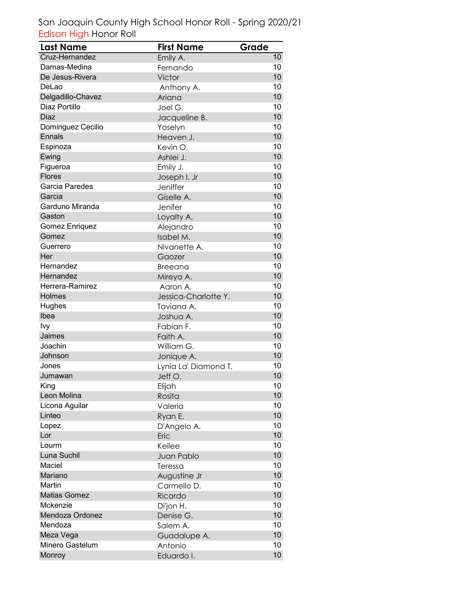| Last Name           | <b>First Name</b>    | Grade           |
|---------------------|----------------------|-----------------|
| Cruz-Hernandez      | Emily A.             | 10              |
| Damas-Medina        | Fernando             | 10              |
| De Jesus-Rivera     | Victor               | 10              |
| DeLao               | Anthony A.           | 10              |
| Delgadillo-Chavez   | Ariana               | 10              |
| Diaz Portillo       | Joel G.              | 10              |
| Diaz                | Jacqueline B.        | 10              |
| Dominguez Cecilio   | Yoselyn              | 10              |
| Ennals              | Heaven J.            | 10              |
| Espinoza            | Kevin O.             | 10              |
| Ewing               | Ashlei J.            | 10              |
| Figueroa            | Emily J.             | 10              |
| <b>Flores</b>       | Joseph I. Jr         | 10              |
| Garcia Paredes      | Jeniffer             | 10              |
| Garcia              | Giselle A.           | 10              |
| Garduno Miranda     | Jenifer              | 10              |
| Gaston              | Loyalty A.           | 10              |
| Gomez Enriquez      | Alejandro            | 10              |
| Gomez               | Isabel M.            | 10              |
| Guerrero            | Nivanette A.         | 10              |
| Her                 | Gaozer               | 10              |
| Hernandez           | <b>Breeana</b>       | 10              |
| Hernandez           | Mireya A.            | 10              |
| Herrera-Ramirez     | Aaron A.             | 10              |
| Holmes              | Jessica-Charlotte Y. | 10              |
| Hughes              | Taviana A.           | 10              |
| Ibea                | Joshua A.            | 10              |
| <b>Ivy</b>          | Fabian F.            | 10              |
| Jaimes              | Faith A.             | 10              |
| Joachin             | William G.           | 10              |
| Johnson             | Jonique A.           | 10              |
| Jones               | Lynia La' Diamond T. | 10              |
| Jumawan             | Jeff O.              | 10              |
| King                | Elijah               | 10              |
| Leon Molina         | Rosita               | 10              |
| Licona Aguilar      | Valeria              | 10              |
| Linteo              | Ryan E.              | 10              |
| Lopez               | D'Angelo A.          | 10              |
| Lor                 | Eric                 | 10              |
| Lourm               | Keilee               | 10              |
| Luna Suchil         | Juan Pablo           | 10              |
| Maciel              | Teressa              | 10              |
| Mariano             | Augustine Jr         | 10              |
| Martin              | Carmello D.          | 10              |
| <b>Matias Gomez</b> | Ricardo              | 10              |
| Mckenzie            | Di'jon H.            | 10              |
| Mendoza Ordonez     | Denise G.            | 10              |
| Mendoza             | Salem A.             | 10              |
| Meza Vega           | Guadalupe A.         | 10              |
| Minero Gastelum     | Antonio              | 10              |
| Monroy              | Eduardo I.           | 10 <sup>1</sup> |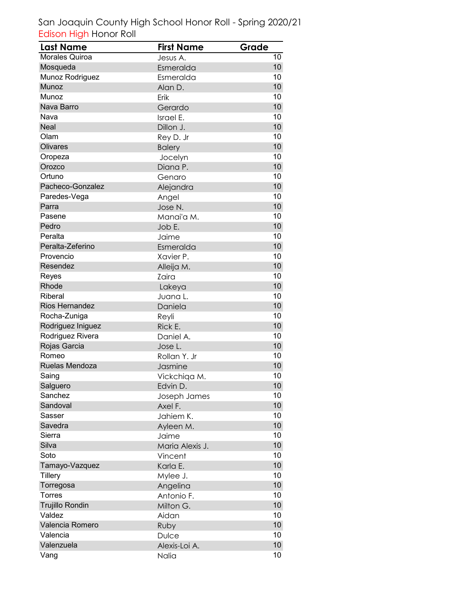| <b>Last Name</b>      | <b>First Name</b> | Grade |
|-----------------------|-------------------|-------|
| <b>Morales Quiroa</b> | Jesus A.          | 10    |
| Mosqueda              | Esmeralda         | 10    |
| Munoz Rodriguez       | Esmeralda         | 10    |
| <b>Munoz</b>          | Alan D.           | 10    |
| Munoz                 | Erik              | 10    |
| Nava Barro            | Gerardo           | 10    |
| Nava                  | Israel E.         | 10    |
| <b>Neal</b>           | Dillon J.         | 10    |
| Olam                  | Rey D. Jr         | 10    |
| <b>Olivares</b>       | <b>Balery</b>     | 10    |
| Oropeza               | Jocelyn           | 10    |
| Orozco                | Diana P.          | 10    |
| Ortuno                | Genaro            | 10    |
| Pacheco-Gonzalez      | Alejandra         | 10    |
| Paredes-Vega          | Angel             | 10    |
| Parra                 | Jose N.           | 10    |
| Pasene                | Manai'a M.        | 10    |
| Pedro                 | Job E.            | 10    |
| Peralta               | Jaime             | 10    |
| Peralta-Zeferino      | Esmeralda         | 10    |
| Provencio             | Xavier P.         | 10    |
| Resendez              | Alleija M.        | 10    |
| Reyes                 | Zaira             | 10    |
| Rhode                 | Lakeya            | 10    |
| Riberal               | Juana L.          | 10    |
| <b>Rios Hernandez</b> | Daniela           | 10    |
| Rocha-Zuniga          | Reyli             | 10    |
| Rodriguez Iniguez     | Rick E.           | 10    |
| Rodriguez Rivera      | Daniel A.         | 10    |
| Rojas Garcia          | Jose L.           | 10    |
| Romeo                 | Rollan Y. Jr      | 10    |
| Ruelas Mendoza        | Jasmine           | 10    |
| Saing                 | Vickchiga M.      | 10    |
| Salguero              | Edvin D.          | 10    |
| Sanchez               | Joseph James      | 10    |
| Sandoval              | Axel F.           | 10    |
| Sasser                | Jahiem K.         | 10    |
| Savedra               | Ayleen M.         | 10    |
| Sierra                | Jaime             | 10    |
| Silva                 | Maria Alexis J.   | 10    |
| Soto                  | Vincent           | 10    |
| Tamayo-Vazquez        | Karla E.          | 10    |
| Tillery               | Mylee J.          | 10    |
| Torregosa             | Angelina          | 10    |
| Torres                | Antonio F.        | 10    |
| Trujillo Rondin       | Milton G.         | 10    |
| Valdez                | Aidan             | 10    |
| Valencia Romero       | Ruby              | 10    |
| Valencia              | Dulce             | 10    |
| Valenzuela            | Alexis-Loi A.     | 10    |
| Vang                  | Nalia             | 10    |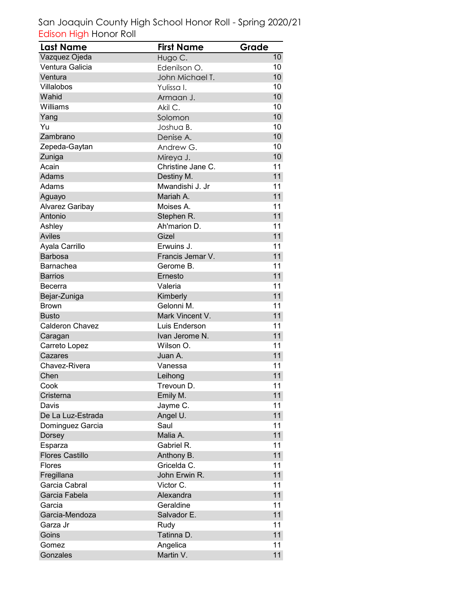| <b>Last Name</b>       | <b>First Name</b> | Grade |
|------------------------|-------------------|-------|
| Vazquez Ojeda          | Hugo C.           | 10    |
| Ventura Galicia        | Edenilson O.      | 10    |
| Ventura                | John Michael T.   | 10    |
| Villalobos             | Yulissa I.        | 10    |
| Wahid                  | Armaan J.         | 10    |
| Williams               | Akil C.           | 10    |
| Yang                   | Solomon           | 10    |
| Yu                     | Joshua B.         | 10    |
| Zambrano               | Denise A.         | 10    |
| Zepeda-Gaytan          | Andrew G.         | 10    |
| Zuniga                 | Mireya J.         | 10    |
| Acain                  | Christine Jane C. | 11    |
| Adams                  | Destiny M.        | 11    |
| Adams                  | Mwandishi J. Jr   | 11    |
| Aguayo                 | Mariah A.         | 11    |
| Alvarez Garibay        | Moises A.         | 11    |
| Antonio                | Stephen R.        | 11    |
| Ashley                 | Ah'marion D.      | 11    |
| Aviles                 | Gizel             | 11    |
| Ayala Carrillo         | Erwuins J.        | 11    |
| <b>Barbosa</b>         | Francis Jemar V.  | 11    |
| Barnachea              | Gerome B.         | 11    |
| <b>Barrios</b>         | Ernesto           | 11    |
| Becerra                | Valeria           | 11    |
| Bejar-Zuniga           | Kimberly          | 11    |
| Brown                  | Gelonni M.        | 11    |
| <b>Busto</b>           | Mark Vincent V.   | 11    |
| <b>Calderon Chavez</b> | Luis Enderson     | 11    |
| Caragan                | Ivan Jerome N.    | 11    |
| Carreto Lopez          | Wilson O.         | 11    |
| Cazares                | Juan A.           | 11    |
| Chavez-Rivera          | Vanessa           | 11    |
| Chen                   | Leihong           | 11    |
| Cook                   | Trevoun D.        | 11    |
| Cristerna              | Emily M.          | 11    |
| Davis                  | Jayme C.          | 11    |
| De La Luz-Estrada      | Angel U.          | 11    |
| Dominguez Garcia       | Saul              | 11    |
| Dorsey                 | Malia A.          | 11    |
| Esparza                | Gabriel R.        | 11    |
| <b>Flores Castillo</b> | Anthony B.        | 11    |
| <b>Flores</b>          | Gricelda C.       | 11    |
| Fregillana             | John Erwin R.     | 11    |
| Garcia Cabral          | Victor C.         | 11    |
| Garcia Fabela          | Alexandra         | 11    |
| Garcia                 | Geraldine         | 11    |
| Garcia-Mendoza         | Salvador E.       | 11    |
| Garza Jr               | Rudy              | 11    |
| Goins                  | Tatinna D.        | 11    |
| Gomez                  | Angelica          | 11    |
| Gonzales               | Martin V.         | 11    |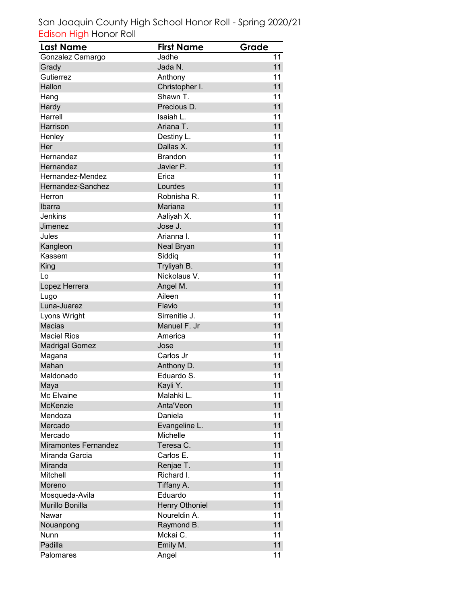| <b>Last Name</b>            | <b>First Name</b>     | Grade |
|-----------------------------|-----------------------|-------|
| Gonzalez Camargo            | Jadhe                 | 11    |
| Grady                       | Jada N.               | 11    |
| Gutierrez                   | Anthony               | 11    |
| Hallon                      | Christopher I.        | 11    |
| Hang                        | Shawn T.              | 11    |
| Hardy                       | Precious D.           | 11    |
| Harrell                     | Isaiah L.             | 11    |
| Harrison                    | Ariana T.             | 11    |
| Henley                      | Destiny L.            | 11    |
| Her                         | Dallas X.             | 11    |
| Hernandez                   | <b>Brandon</b>        | 11    |
| Hernandez                   | Javier P.             | 11    |
| Hernandez-Mendez            | Erica                 | 11    |
| Hernandez-Sanchez           | Lourdes               | 11    |
| Herron                      | Robnisha R.           | 11    |
| Ibarra                      | Mariana               | 11    |
| Jenkins                     | Aaliyah X.            | 11    |
| Jimenez                     | Jose J.               | 11    |
| Jules                       | Arianna I.            | 11    |
| Kangleon                    | Neal Bryan            | 11    |
| Kassem                      | Siddiq                | 11    |
| King                        | Tryliyah B.           | 11    |
| Lo                          | Nickolaus V.          | 11    |
| Lopez Herrera               | Angel M.              | 11    |
| Lugo                        | Aileen                | 11    |
| Luna-Juarez                 | Flavio                | 11    |
| Lyons Wright                | Sirrenitie J.         | 11    |
| <b>Macias</b>               | Manuel F. Jr          | 11    |
| <b>Maciel Rios</b>          | America               | 11    |
| <b>Madrigal Gomez</b>       | Jose                  | 11    |
| Magana                      | Carlos Jr             | 11    |
| Mahan                       | Anthony D.            | 11    |
| Maldonado                   | Eduardo S.            | 11    |
| Maya                        | Kayli Y.              | 11    |
| Mc Elvaine                  | Malahki L.            | 11    |
| McKenzie                    | Anta'Veon             | 11    |
| Mendoza                     | Daniela               | 11    |
| Mercado                     | Evangeline L.         | 11    |
| Mercado                     | Michelle              | 11    |
| <b>Miramontes Fernandez</b> | Teresa C.             | 11    |
| Miranda Garcia              | Carlos E.             | 11    |
| Miranda                     | Renjae T.             | 11    |
| Mitchell                    | Richard I.            | 11    |
| Moreno                      | Tiffany A.            | 11    |
| Mosqueda-Avila              | Eduardo               | 11    |
| Murillo Bonilla             | <b>Henry Othoniel</b> | 11    |
| Nawar                       | Noureldin A.          | 11    |
| Nouanpong                   | Raymond B.            | 11    |
| Nunn                        | Mckai C.              | 11    |
| Padilla                     | Emily M.              | 11    |
| Palomares                   | Angel                 | 11    |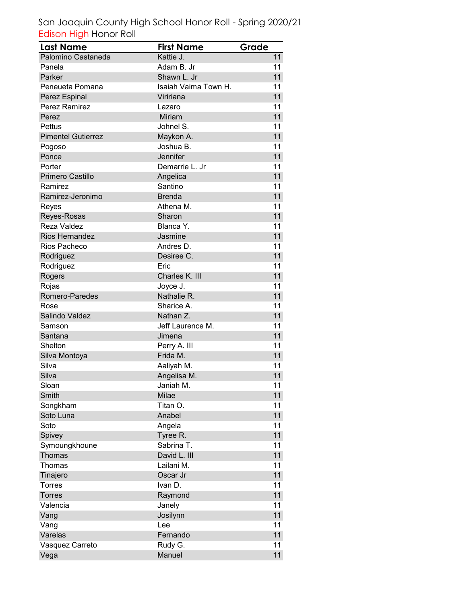| <b>Last Name</b>          | <b>First Name</b>    | Grade |
|---------------------------|----------------------|-------|
| Palomino Castaneda        | Kattie J.            | 11    |
| Panela                    | Adam B. Jr           | 11    |
| Parker                    | Shawn L. Jr          | 11    |
| Peneueta Pomana           | Isaiah Vaima Town H. | 11    |
| Perez Espinal             | Viririana            | 11    |
| <b>Perez Ramirez</b>      | Lazaro               | 11    |
| Perez                     | Miriam               | 11    |
| Pettus                    | Johnel S.            | 11    |
| <b>Pimentel Gutierrez</b> | Maykon A.            | 11    |
| Pogoso                    | Joshua B.            | 11    |
| Ponce                     | Jennifer             | 11    |
| Porter                    | Demarrie L. Jr       | 11    |
| Primero Castillo          | Angelica             | 11    |
| Ramirez                   | Santino              | 11    |
| Ramirez-Jeronimo          | <b>Brenda</b>        | 11    |
| Reyes                     | Athena M.            | 11    |
| Reyes-Rosas               | Sharon               | 11    |
| Reza Valdez               | Blanca Y.            | 11    |
| <b>Rios Hernandez</b>     | Jasmine              | 11    |
| Rios Pacheco              | Andres D.            | 11    |
| Rodriguez                 | Desiree C.           | 11    |
| Rodriguez                 | Eric                 | 11    |
| Rogers                    | Charles K. III       | 11    |
| Rojas                     | Joyce J.             | 11    |
| Romero-Paredes            | Nathalie R.          | 11    |
| Rose                      | Sharice A.           | 11    |
| Salindo Valdez            | Nathan Z.            | 11    |
| Samson                    | Jeff Laurence M.     | 11    |
| Santana                   | Jimena               | 11    |
| Shelton                   | Perry A. III         | 11    |
| Silva Montoya             | Frida M.             | 11    |
| Silva                     | Aaliyah M.           | 11    |
| Silva                     | Angelisa M.          | 11    |
| Sloan                     | Janiah M.            | 11    |
| Smith                     | Milae                | 11    |
| Songkham                  | Titan O.             | 11    |
| Soto Luna                 | Anabel               | 11    |
| Soto                      | Angela               | 11    |
| Spivey                    | Tyree R.             | 11    |
| Symoungkhoune             | Sabrina T.           | 11    |
| Thomas                    | David L. III         | 11    |
| Thomas                    | Lailani M.           | 11    |
| Tinajero                  | Oscar Jr             | 11    |
| <b>Torres</b>             | Ivan D.              | 11    |
| <b>Torres</b>             | Raymond              | 11    |
| Valencia                  | Janely               | 11    |
| Vang                      | Josilynn             | 11    |
| Vang                      | Lee                  | 11    |
| Varelas                   | Fernando             | 11    |
| Vasquez Carreto           | Rudy G.              | 11    |
| Vega                      | Manuel               | 11    |
|                           |                      |       |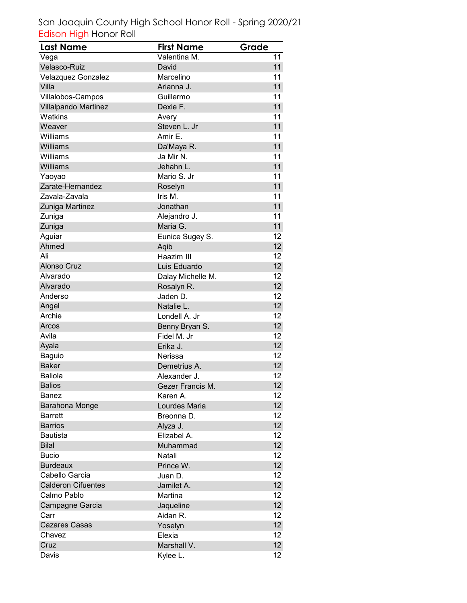| <b>Last Name</b>          | <b>First Name</b> | Grade           |
|---------------------------|-------------------|-----------------|
| Vega                      | Valentina M.      | 11              |
| Velasco-Ruiz              | David             | 11              |
| Velazquez Gonzalez        | Marcelino         | 11              |
| Villa                     | Arianna J.        | 11              |
| Villalobos-Campos         | Guillermo         | 11              |
| Villalpando Martinez      | Dexie F.          | 11              |
| Watkins                   | Avery             | 11              |
| Weaver                    | Steven L. Jr      | 11              |
| Williams                  | Amir E.           | 11              |
| Williams                  | Da'Maya R.        | 11              |
| Williams                  | Ja Mir N.         | 11              |
| Williams                  | Jehahn L.         | 11              |
| Yaoyao                    | Mario S. Jr       | 11              |
| Zarate-Hernandez          | Roselyn           | 11              |
| Zavala-Zavala             | Iris M.           | 11              |
| Zuniga Martinez           | Jonathan          | 11              |
| Zuniga                    | Alejandro J.      | 11              |
| Zuniga                    | Maria G.          | 11              |
| Aguiar                    | Eunice Sugey S.   | 12              |
| Ahmed                     | Aqib              | 12              |
| Ali                       | Haazim III        | 12              |
| <b>Alonso Cruz</b>        | Luis Eduardo      | 12 <sup>2</sup> |
| Alvarado                  | Dalay Michelle M. | 12              |
| Alvarado                  | Rosalyn R.        | 12 <sup>°</sup> |
| Anderso                   | Jaden D.          | 12              |
| Angel                     | Natalie L.        | 12              |
| Archie                    | Londell A. Jr     | 12              |
| Arcos                     | Benny Bryan S.    | 12 <sub>2</sub> |
| Avila                     | Fidel M. Jr       | 12              |
| Ayala                     | Erika J.          | 12 <sub>2</sub> |
| <b>Baguio</b>             | Nerissa           | 12              |
| <b>Baker</b>              | Demetrius A.      | 12 <sup>2</sup> |
| <b>Baliola</b>            | Alexander J.      | 12              |
| <b>Balios</b>             | Gezer Francis M.  | 12 <sub>2</sub> |
| Banez                     | Karen A.          | 12              |
| Barahona Monge            | Lourdes Maria     | 12 <sup>°</sup> |
| <b>Barrett</b>            | Breonna D.        | 12              |
| <b>Barrios</b>            | Alyza J.          | 12 <sup>2</sup> |
| <b>Bautista</b>           | Elizabel A.       | 12              |
| <b>Bilal</b>              | Muhammad          | 12 <sup>°</sup> |
| <b>Bucio</b>              | Natali            | 12 <sub>2</sub> |
| <b>Burdeaux</b>           | Prince W.         | 12 <sup>2</sup> |
| Cabello Garcia            | Juan D.           | 12 <sup>2</sup> |
| <b>Calderon Cifuentes</b> | Jamilet A.        | 12 <sup>°</sup> |
| Calmo Pablo               | Martina           | 12              |
| Campagne Garcia           | Jaqueline         | 12              |
| Carr                      | Aidan R.          | 12              |
| <b>Cazares Casas</b>      | Yoselyn           | 12              |
| Chavez                    | Elexia            | 12 <sup>2</sup> |
| Cruz                      | Marshall V.       | 12 <sup>2</sup> |
| Davis                     | Kylee L.          | 12              |
|                           |                   |                 |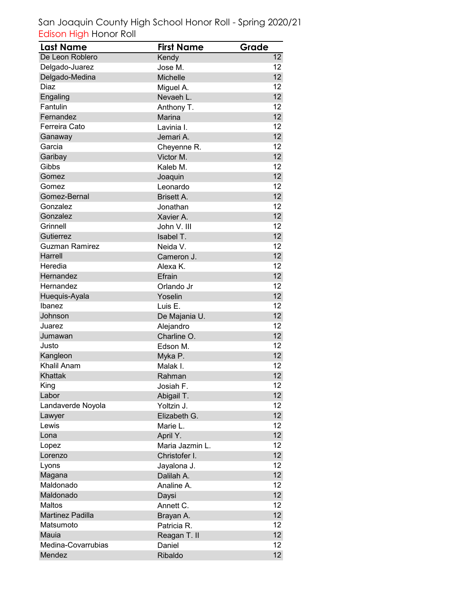| <b>Last Name</b>        | <b>First Name</b> | Grade           |
|-------------------------|-------------------|-----------------|
| De Leon Roblero         | Kendy             | 12              |
| Delgado-Juarez          | Jose M.           | 12              |
| Delgado-Medina          | Michelle          | 12 <sup>°</sup> |
| Diaz                    | Miguel A.         | 12              |
| Engaling                | Nevaeh L.         | 12 <sup>2</sup> |
| Fantulin                | Anthony T.        | 12              |
| Fernandez               | Marina            | 12 <sup>2</sup> |
| Ferreira Cato           | Lavinia I.        | 12              |
| Ganaway                 | Jemari A.         | 12 <sup>°</sup> |
| Garcia                  | Cheyenne R.       | 12              |
| Garibay                 | Victor M.         | 12 <sup>°</sup> |
| Gibbs                   | Kaleb M.          | 12 <sup>2</sup> |
| Gomez                   | Joaquin           | 12 <sup>2</sup> |
| Gomez                   | Leonardo          | 12              |
| Gomez-Bernal            | <b>Brisett A.</b> | 12 <sup>2</sup> |
| Gonzalez                | Jonathan          | 12              |
| Gonzalez                | Xavier A.         | 12 <sup>°</sup> |
| Grinnell                | John V. III       | 12              |
| Gutierrez               | Isabel T.         | 12              |
| <b>Guzman Ramirez</b>   | Neida V.          | 12              |
| Harrell                 | Cameron J.        | 12 <sup>2</sup> |
| Heredia                 | Alexa K.          | 12              |
| Hernandez               | Efrain            | 12 <sup>°</sup> |
| Hernandez               | Orlando Jr        | 12              |
| Huequis-Ayala           | Yoselin           | 12 <sup>°</sup> |
| Ibanez                  | Luis E.           | 12              |
| Johnson                 | De Majania U.     | 12 <sub>2</sub> |
| Juarez                  | Alejandro         | 12              |
| Jumawan                 | Charline O.       | 12 <sup>2</sup> |
| Justo                   | Edson M.          | 12              |
| Kangleon                | Myka P.           | 12 <sup>2</sup> |
| <b>Khalil Anam</b>      | Malak I.          | 12              |
| Khattak                 | Rahman            | 12              |
| King                    | Josiah F.         | 12              |
| Labor                   | Abigail T.        | 12              |
| Landaverde Noyola       | Yoltzin J.        | 12              |
| Lawyer                  | Elizabeth G.      | 12 <sup>2</sup> |
| Lewis                   | Marie L.          | 12              |
| Lona                    | April Y.          | 12              |
| Lopez                   | Maria Jazmin L.   | 12              |
| Lorenzo                 | Christofer I.     | 12              |
| Lyons                   | Jayalona J.       | 12              |
| Magana                  | Dalilah A.        | 12 <sup>°</sup> |
| Maldonado               | Analine A.        | 12              |
| Maldonado               | Daysi             | 12 <sup>°</sup> |
| Maltos                  | Annett C.         | 12              |
| <b>Martinez Padilla</b> | Brayan A.         | 12 <sup>2</sup> |
| Matsumoto               | Patricia R.       | 12              |
| Mauia                   | Reagan T. II      | 12 <sup>°</sup> |
| Medina-Covarrubias      | Daniel            | 12 <sub>2</sub> |
| Mendez                  | Ribaldo           | 12 <sup>°</sup> |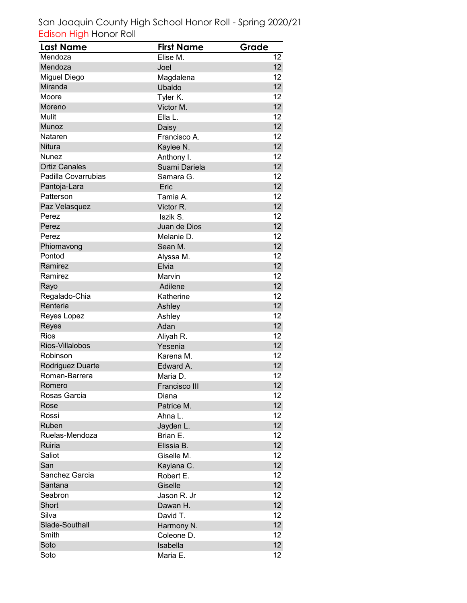| Last Name            | <b>First Name</b> | Grade           |
|----------------------|-------------------|-----------------|
| Mendoza              | Elise M.          | 12              |
| Mendoza              | Joel              | 12 <sup>°</sup> |
| Miguel Diego         | Magdalena         | 12              |
| Miranda              | Ubaldo            | 12 <sup>2</sup> |
| Moore                | Tyler K.          | 12              |
| Moreno               | Victor M.         | 12 <sup>°</sup> |
| Mulit                | Ella L.           | 12              |
| Munoz                | Daisy             | 12 <sup>2</sup> |
| Nataren              | Francisco A.      | 12              |
| Nitura               | Kaylee N.         | 12 <sup>2</sup> |
| Nunez                | Anthony I.        | 12              |
| <b>Ortiz Canales</b> | Suami Dariela     | 12 <sup>°</sup> |
| Padilla Covarrubias  | Samara G.         | 12 <sup>2</sup> |
| Pantoja-Lara         | Eric              | 12 <sup>2</sup> |
| Patterson            | Tamia A.          | 12              |
| Paz Velasquez        | Victor R.         | 12 <sup>2</sup> |
| Perez                | Iszik S.          | 12              |
| Perez                | Juan de Dios      | 12              |
| Perez                | Melanie D.        | 12              |
| Phiomavong           | Sean M.           | 12              |
| Pontod               | Alyssa M.         | 12              |
| Ramirez              | Elvia             | 12 <sup>2</sup> |
| Ramirez              | Marvin            | 12              |
| Rayo                 | Adilene           | 12              |
| Regalado-Chia        | Katherine         | 12              |
| Renteria             | Ashley            | 12 <sup>2</sup> |
| Reyes Lopez          | Ashley            | 12              |
| Reyes                | Adan              | 12 <sub>2</sub> |
| <b>Rios</b>          | Aliyah R.         | 12              |
| Rios-Villalobos      | Yesenia           | 12 <sub>2</sub> |
| Robinson             | Karena M.         | 12              |
| Rodriguez Duarte     | Edward A.         | 12 <sub>2</sub> |
| Roman-Barrera        | Maria D.          | 12              |
| Romero               | Francisco III     | 12 <sup>°</sup> |
| Rosas Garcia         | Diana             | 12              |
| Rose                 | Patrice M.        | 12 <sub>2</sub> |
| Rossi                | Ahna L.           | 12              |
| Ruben                | Jayden L.         | 12 <sub>2</sub> |
| Ruelas-Mendoza       | Brian E.          | 12              |
| Ruiria               | Elissia B.        | 12 <sup>°</sup> |
| Saliot               | Giselle M.        | 12 <sub>2</sub> |
| San                  | Kaylana C.        | 12 <sub>2</sub> |
| Sanchez Garcia       | Robert E.         | 12              |
| Santana              | Giselle           | 12 <sup>°</sup> |
| Seabron              | Jason R. Jr       | 12              |
| Short                | Dawan H.          | 12 <sup>2</sup> |
| Silva                | David T.          | 12              |
| Slade-Southall       | Harmony N.        | 12 <sub>2</sub> |
| Smith                | Coleone D.        | 12              |
| Soto                 | Isabella          | 12 <sup>°</sup> |
| Soto                 | Maria E.          | 12 <sub>2</sub> |